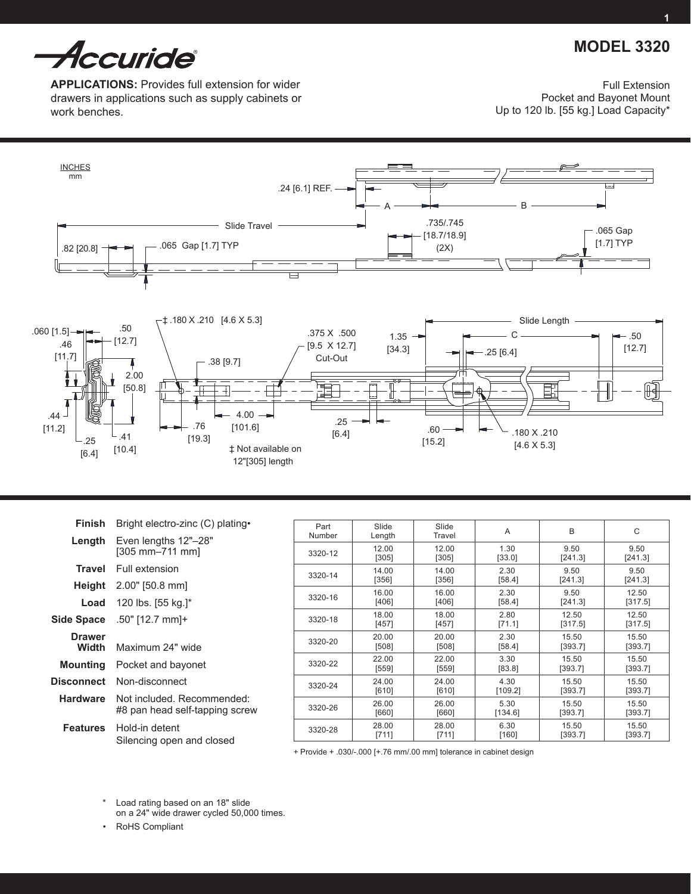

**APPLICATIONS:** Provides full extension for wider drawers in applications such as supply cabinets or work benches.

Full Extension Pocket and Bayonet Mount Up to 120 lb. [55 kg.] Load Capacity\*

**MODEL 3320**



| Finish                 | Bright electro-zinc (C) plating.                             |
|------------------------|--------------------------------------------------------------|
| Length                 | Even lengths 12"-28"<br>[305 mm-711 mm]                      |
| <b>Travel</b>          | Full extension                                               |
| Height                 | $2.00"$ [50.8 mm]                                            |
| Load                   | 120 lbs. [55 kg.]*                                           |
| Side Space             | .50" [12.7 mm]+                                              |
| Drawer<br><b>Width</b> | Maximum 24" wide                                             |
| Mounting               | Pocket and bayonet                                           |
| <b>Disconnect</b>      | Non-disconnect                                               |
| <b>Hardware</b>        | Not included. Recommended:<br>#8 pan head self-tapping screw |
| <b>Features</b>        | Hold-in detent<br>Silencing open and closed                  |

| Part<br>Number | Slide<br>Length | Slide<br>Travel | A       | B       | C         |
|----------------|-----------------|-----------------|---------|---------|-----------|
| 3320-12        | 12.00           | 12.00           | 1.30    | 9.50    | 9.50      |
|                | $[305]$         | [305]           | [33.0]  | [241.3] | [241.3]   |
| 3320-14        | 14.00           | 14.00           | 2.30    | 9.50    | 9.50      |
|                | [356]           | [356]           | [58.4]  | [241.3] | [241.3]   |
| 3320-16        | 16.00           | 16.00           | 2.30    | 9.50    | 12.50     |
|                | $[406]$         | $[406]$         | [58.4]  | [241.3] | $[317.5]$ |
| 3320-18        | 18.00           | 18.00           | 2.80    | 12.50   | 12.50     |
|                | [457]           | $[457]$         | [71.1]  | [317.5] | [317.5]   |
| 3320-20        | 20.00           | 20.00           | 2.30    | 15.50   | 15.50     |
|                | [508]           | [508]           | [58.4]  | [393.7] | [393.7]   |
| 3320-22        | 22.00           | 22.00           | 3.30    | 15.50   | 15.50     |
|                | $[559]$         | [559]           | [83.8]  | [393.7] | [393.7]   |
| 3320-24        | 24.00           | 24.00           | 4.30    | 15.50   | 15.50     |
|                | [610]           | $[610]$         | [109.2] | [393.7] | [393.7]   |
| 3320-26        | 26.00           | 26.00           | 5.30    | 15.50   | 15.50     |
|                | [660]           | [660]           | [134.6] | [393.7] | [393.7]   |
| 3320-28        | 28.00           | 28.00           | 6.30    | 15.50   | 15.50     |
|                | [711]           | [711]           | [160]   | [393.7] | [393.7]   |

+ Provide + .030/-.000 [+.76 mm/.00 mm] tolerance in cabinet design

\* Load rating based on an 18" slide on a 24" wide drawer cycled 50,000 times.

• RoHS Compliant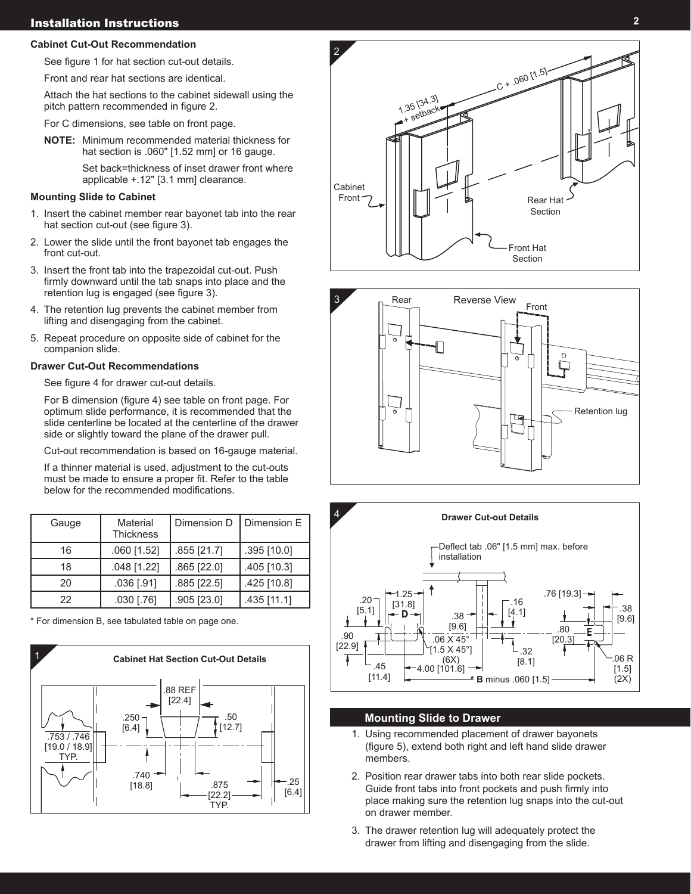# Installation Instructions

### **Cabinet Cut-Out Recommendation**

See figure 1 for hat section cut-out details.

Front and rear hat sections are identical.

Attach the hat sections to the cabinet sidewall using the pitch pattern recommended in figure 2.

For C dimensions, see table on front page.

**NOTE:** Minimum recommended material thickness for hat section is .060" [1.52 mm] or 16 gauge.

> Set back=thickness of inset drawer front where applicable +.12" [3.1 mm] clearance.

## **Mounting Slide to Cabinet**

- 1. Insert the cabinet member rear bayonet tab into the rear hat section cut-out (see figure 3).
- 2. Lower the slide until the front bayonet tab engages the front cut-out.
- 3. Insert the front tab into the trapezoidal cut-out. Push firmly downward until the tab snaps into place and the retention lug is engaged (see figure 3).
- 4. The retention lug prevents the cabinet member from lifting and disengaging from the cabinet.
- 5. Repeat procedure on opposite side of cabinet for the companion slide.

## **Drawer Cut-Out Recommendations**

See figure 4 for drawer cut-out details.

For B dimension (figure 4) see table on front page. For optimum slide performance, it is recommended that the slide centerline be located at the centerline of the drawer side or slightly toward the plane of the drawer pull.

Cut-out recommendation is based on 16-gauge material.

If a thinner material is used, adjustment to the cut-outs must be made to ensure a proper fit. Refer to the table below for the recommended modifications.

| Gauge | Material<br><b>Thickness</b> | Dimension D   | Dimension E   |
|-------|------------------------------|---------------|---------------|
| 16    | $.060$ [1.52]                | .855 [21.7]   | $.395$ [10.0] |
| 18    | $.048$ [1.22]                | .865 [22.0]   | .405 [10.3]   |
| 20    | $.036$ [.91]                 | $.885$ [22.5] | .425 [10.8]   |
| 22    | $.030$ [.76]                 | .905 [23.0]   | .435 [11.1]   |

\* For dimension B, see tabulated table on page one.









## **Mounting Slide to Drawer**

- 1. Using recommended placement of drawer bayonets (figure 5), extend both right and left hand slide drawer members.
- 2. Position rear drawer tabs into both rear slide pockets. Guide front tabs into front pockets and push firmly into place making sure the retention lug snaps into the cut-out on drawer member.
- 3. The drawer retention lug will adequately protect the drawer from lifting and disengaging from the slide.